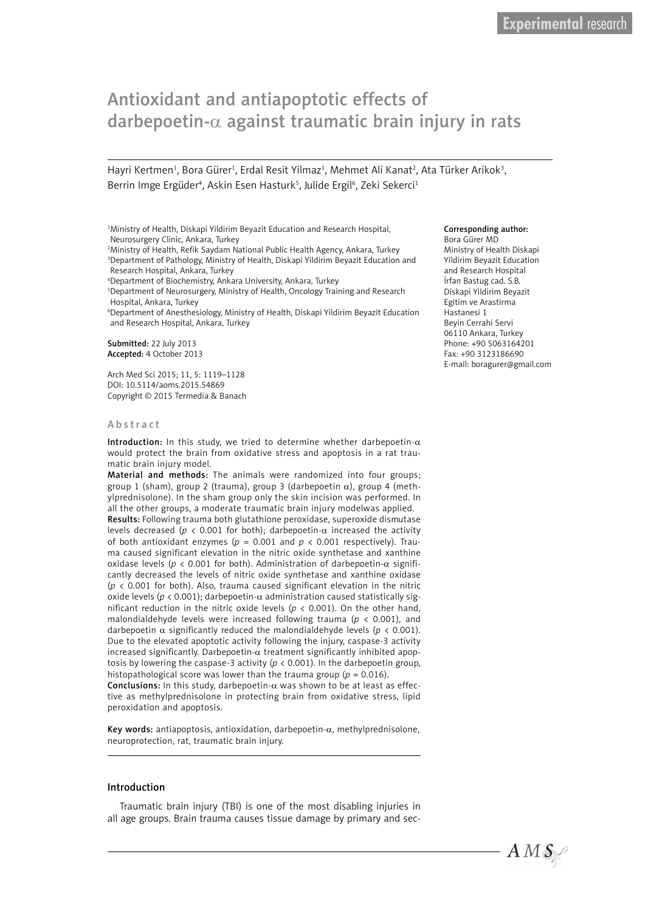# Antioxidant and antiapoptotic effects of darbepoetin- $\alpha$  against traumatic brain injury in rats

Hayri Kertmen<sup>1</sup>, Bora Gürer<sup>1</sup>, Erdal Resit Yilmaz<sup>1</sup>, Mehmet Ali Kanat<sup>2</sup>, Ata Türker Arikok<sup>3</sup>, Berrin Imge Ergüder<sup>4</sup>, Askin Esen Hasturk<sup>5</sup>, Julide Ergil<sup>6</sup>, Zeki Sekerci<sup>1</sup>

1 Ministry of Health, Diskapi Yildirim Beyazit Education and Research Hospital, Neurosurgery Clinic, Ankara, Turkey

2 Ministry of Health, Refik Saydam National Public Health Agency, Ankara, Turkey 3 Department of Pathology, Ministry of Health, Diskapi Yildirim Beyazit Education and Research Hospital, Ankara, Turkey

4 Department of Biochemistry, Ankara University, Ankara, Turkey

5 Department of Neurosurgery, Ministry of Health, Oncology Training and Research Hospital, Ankara, Turkey

6 Department of Anesthesiology, Ministry of Health, Diskapi Yildirim Beyazit Education and Research Hospital, Ankara, Turkey

Submitted: 22 July 2013 Accepted: 4 October 2013

Arch Med Sci 2015; 11, 5: 1119–1128 DOI: 10.5114/aoms.2015.54869 Copyright © 2015 Termedia & Banach

#### Abstract

Introduction: In this study, we tried to determine whether darbepoetin- $\alpha$ would protect the brain from oxidative stress and apoptosis in a rat traumatic brain injury model.

Material and methods: The animals were randomized into four groups; group 1 (sham), group 2 (trauma), group 3 (darbepoetin  $\alpha$ ), group 4 (methylprednisolone). In the sham group only the skin incision was performed. In all the other groups, a moderate traumatic brain injury modelwas applied.

Results: Following trauma both glutathione peroxidase, superoxide dismutase levels decreased ( $p < 0.001$  for both); darbepoetin- $\alpha$  increased the activity of both antioxidant enzymes ( $p = 0.001$  and  $p < 0.001$  respectively). Trauma caused significant elevation in the nitric oxide synthetase and xanthine oxidase levels ( $p < 0.001$  for both). Administration of darbepoetin- $\alpha$  significantly decreased the levels of nitric oxide synthetase and xanthine oxidase (*p* < 0.001 for both). Also, trauma caused significant elevation in the nitric oxide levels ( $p < 0.001$ ); darbepoetin- $\alpha$  administration caused statistically significant reduction in the nitric oxide levels (*p* < 0.001). On the other hand, malondialdehyde levels were increased following trauma (*p* < 0.001), and darbepoetin  $\alpha$  significantly reduced the malondialdehyde levels ( $p < 0.001$ ). Due to the elevated apoptotic activity following the injury, caspase-3 activity increased significantly. Darbepoetin- $\alpha$  treatment significantly inhibited apoptosis by lowering the caspase-3 activity ( $p < 0.001$ ). In the darbepoetin group, histopathological score was lower than the trauma group ( $p = 0.016$ ).

Conclusions: In this study, darbepoetin- $\alpha$  was shown to be at least as effective as methylprednisolone in protecting brain from oxidative stress, lipid peroxidation and apoptosis.

Key words: antiapoptosis, antioxidation, darbepoetin- $\alpha$ , methylprednisolone, neuroprotection, rat, traumatic brain injury.

#### Introduction

Traumatic brain injury (TBI) is one of the most disabling injuries in all age groups. Brain trauma causes tissue damage by primary and sec-

#### Corresponding author:

Bora Gürer MD Ministry of Health Diskapi Yildirim Beyazit Education and Research Hospital İrfan Bastug cad. S.B. Diskapi Yildirim Beyazit Egitim ve Arastirma Hastanesi 1 Beyin Cerrahi Servi 06110 Ankara, Turkey Phone: +90 5063164201 Fax: +90 3123186690 E-mail: boragurer@gmail.com

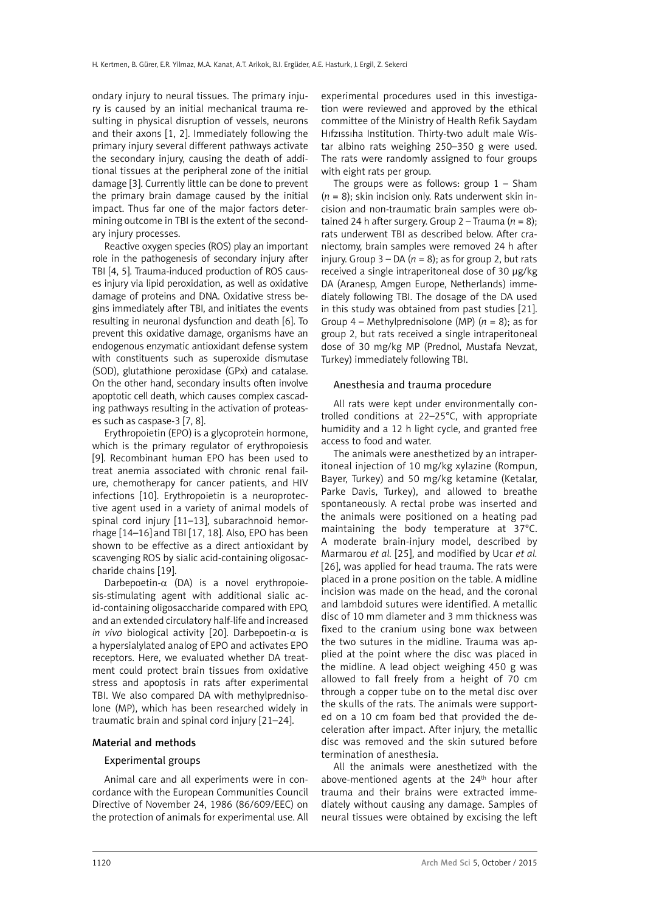ondary injury to neural tissues. The primary injury is caused by an initial mechanical trauma resulting in physical disruption of vessels, neurons and their axons [1, 2]. Immediately following the primary injury several different pathways activate the secondary injury, causing the death of additional tissues at the peripheral zone of the initial damage [3]. Currently little can be done to prevent the primary brain damage caused by the initial impact. Thus far one of the major factors determining outcome in TBI is the extent of the secondary injury processes.

Reactive oxygen species (ROS) play an important role in the pathogenesis of secondary injury after TBI [4, 5]. Trauma-induced production of ROS causes injury via lipid peroxidation, as well as oxidative damage of proteins and DNA. Oxidative stress begins immediately after TBI, and initiates the events resulting in neuronal dysfunction and death [6]. To prevent this oxidative damage, organisms have an endogenous enzymatic antioxidant defense system with constituents such as superoxide dismutase (SOD), glutathione peroxidase (GPx) and catalase. On the other hand, secondary insults often involve apoptotic cell death, which causes complex cascading pathways resulting in the activation of proteases such as caspase-3 [7, 8].

Erythropoietin (EPO) is a glycoprotein hormone, which is the primary regulator of erythropoiesis [9]. Recombinant human EPO has been used to treat anemia associated with chronic renal failure, chemotherapy for cancer patients, and HIV infections [10]. Erythropoietin is a neuroprotective agent used in a variety of animal models of spinal cord injury [11–13], subarachnoid hemorrhage [14–16] and TBI [17, 18]. Also, EPO has been shown to be effective as a direct antioxidant by scavenging ROS by sialic acid-containing oligosaccharide chains [19].

Darbepoetin- $\alpha$  (DA) is a novel erythropoiesis-stimulating agent with additional sialic acid-containing oligosaccharide compared with EPO, and an extended circulatory half-life and increased *in vivo* biological activity [20]. Darbepoetin-a is a hypersialylated analog of EPO and activates EPO receptors. Here, we evaluated whether DA treatment could protect brain tissues from oxidative stress and apoptosis in rats after experimental TBI. We also compared DA with methylprednisolone (MP), which has been researched widely in traumatic brain and spinal cord injury [21–24].

## Material and methods

## Experimental groups

Animal care and all experiments were in concordance with the European Communities Council Directive of November 24, 1986 (86/609/EEC) on the protection of animals for experimental use. All

experimental procedures used in this investigation were reviewed and approved by the ethical committee of the Ministry of Health Refik Saydam Hıfzıssıha Institution. Thirty-two adult male Wistar albino rats weighing 250–350 g were used. The rats were randomly assigned to four groups with eight rats per group.

The groups were as follows: group  $1 -$  Sham (*n* = 8); skin incision only. Rats underwent skin incision and non-traumatic brain samples were obtained 24 h after surgery. Group  $2 -$  Trauma ( $n = 8$ ); rats underwent TBI as described below. After craniectomy, brain samples were removed 24 h after injury. Group  $3 - DA$  ( $n = 8$ ); as for group 2, but rats received a single intraperitoneal dose of 30 µg/kg DA (Aranesp, Amgen Europe, Netherlands) immediately following TBI. The dosage of the DA used in this study was obtained from past studies [21]. Group 4 – Methylprednisolone (MP) (*n* = 8); as for group 2, but rats received a single intraperitoneal dose of 30 mg/kg MP (Prednol, Mustafa Nevzat, Turkey) immediately following TBI.

## Anesthesia and trauma procedure

All rats were kept under environmentally controlled conditions at 22–25°C, with appropriate humidity and a 12 h light cycle, and granted free access to food and water.

The animals were anesthetized by an intraperitoneal injection of 10 mg/kg xylazine (Rompun, Bayer, Turkey) and 50 mg/kg ketamine (Ketalar, Parke Davis, Turkey), and allowed to breathe spontaneously. A rectal probe was inserted and the animals were positioned on a heating pad maintaining the body temperature at 37°C. A moderate brain-injury model, described by Marmarou *et al.* [25], and modified by Ucar *et al.* [26], was applied for head trauma. The rats were placed in a prone position on the table. A midline incision was made on the head, and the coronal and lambdoid sutures were identified. A metallic disc of 10 mm diameter and 3 mm thickness was fixed to the cranium using bone wax between the two sutures in the midline. Trauma was applied at the point where the disc was placed in the midline. A lead object weighing 450 g was allowed to fall freely from a height of 70 cm through a copper tube on to the metal disc over the skulls of the rats. The animals were supported on a 10 cm foam bed that provided the deceleration after impact. After injury, the metallic disc was removed and the skin sutured before termination of anesthesia.

All the animals were anesthetized with the above-mentioned agents at the 24<sup>th</sup> hour after trauma and their brains were extracted immediately without causing any damage. Samples of neural tissues were obtained by excising the left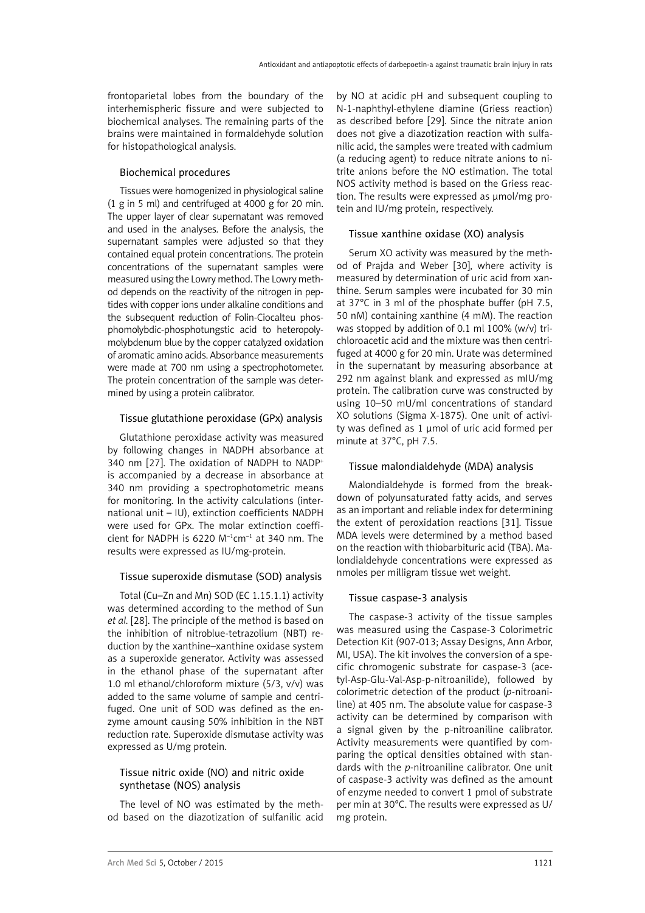frontoparietal lobes from the boundary of the interhemispheric fissure and were subjected to biochemical analyses. The remaining parts of the brains were maintained in formaldehyde solution for histopathological analysis.

## Biochemical procedures

Tissues were homogenized in physiological saline (1 g in 5 ml) and centrifuged at 4000 g for 20 min. The upper layer of clear supernatant was removed and used in the analyses. Before the analysis, the supernatant samples were adjusted so that they contained equal protein concentrations. The protein concentrations of the supernatant samples were measured using the Lowry method. The Lowry method depends on the reactivity of the nitrogen in peptides with copper ions under alkaline conditions and the subsequent reduction of Folin-Ciocalteu phosphomolybdic-phosphotungstic acid to heteropolymolybdenum blue by the copper catalyzed oxidation of aromatic amino acids. Absorbance measurements were made at 700 nm using a spectrophotometer. The protein concentration of the sample was determined by using a protein calibrator.

## Tissue glutathione peroxidase (GPx) analysis

Glutathione peroxidase activity was measured by following changes in NADPH absorbance at 340 nm [27]. The oxidation of NADPH to NADP+ is accompanied by a decrease in absorbance at 340 nm providing a spectrophotometric means for monitoring. In the activity calculations (international unit – IU), extinction coefficients NADPH were used for GPx. The molar extinction coefficient for NADPH is 6220  $M^{-1}$ cm<sup>-1</sup> at 340 nm. The results were expressed as IU/mg-protein.

# Tissue superoxide dismutase (SOD) analysis

Total (Cu–Zn and Mn) SOD (EC 1.15.1.1) activity was determined according to the method of Sun *et al.* [28]. The principle of the method is based on the inhibition of nitroblue-tetrazolium (NBT) reduction by the xanthine–xanthine oxidase system as a superoxide generator. Activity was assessed in the ethanol phase of the supernatant after 1.0 ml ethanol/chloroform mixture (5/3, v/v) was added to the same volume of sample and centrifuged. One unit of SOD was defined as the enzyme amount causing 50% inhibition in the NBT reduction rate. Superoxide dismutase activity was expressed as U/mg protein.

## Tissue nitric oxide (NO) and nitric oxide synthetase (NOS) analysis

The level of NO was estimated by the method based on the diazotization of sulfanilic acid by NO at acidic pH and subsequent coupling to N-1-naphthyl-ethylene diamine (Griess reaction) as described before [29]. Since the nitrate anion does not give a diazotization reaction with sulfanilic acid, the samples were treated with cadmium (a reducing agent) to reduce nitrate anions to nitrite anions before the NO estimation. The total NOS activity method is based on the Griess reaction. The results were expressed as µmol/mg protein and IU/mg protein, respectively.

# Tissue xanthine oxidase (XO) analysis

Serum XO activity was measured by the method of Prajda and Weber [30], where activity is measured by determination of uric acid from xanthine. Serum samples were incubated for 30 min at 37°C in 3 ml of the phosphate buffer (pH 7.5, 50 nM) containing xanthine (4 mM). The reaction was stopped by addition of 0.1 ml 100% (w/v) trichloroacetic acid and the mixture was then centrifuged at 4000 g for 20 min. Urate was determined in the supernatant by measuring absorbance at 292 nm against blank and expressed as mIU/mg protein. The calibration curve was constructed by using 10–50 mU/ml concentrations of standard XO solutions (Sigma X-1875). One unit of activity was defined as 1 µmol of uric acid formed per minute at 37°C, pH 7.5.

# Tissue malondialdehyde (MDA) analysis

Malondialdehyde is formed from the breakdown of polyunsaturated fatty acids, and serves as an important and reliable index for determining the extent of peroxidation reactions [31]. Tissue MDA levels were determined by a method based on the reaction with thiobarbituric acid (TBA). Malondialdehyde concentrations were expressed as nmoles per milligram tissue wet weight.

# Tissue caspase-3 analysis

The caspase-3 activity of the tissue samples was measured using the Caspase-3 Colorimetric Detection Kit (907-013; Assay Designs, Ann Arbor, MI, USA). The kit involves the conversion of a specific chromogenic substrate for caspase-3 (acetyl-Asp-Glu-Val-Asp-p-nitroanilide), followed by colorimetric detection of the product (*p*-nitroaniline) at 405 nm. The absolute value for caspase-3 activity can be determined by comparison with a signal given by the p-nitroaniline calibrator. Activity measurements were quantified by comparing the optical densities obtained with standards with the *p*-nitroaniline calibrator. One unit of caspase-3 activity was defined as the amount of enzyme needed to convert 1 pmol of substrate per min at 30°C. The results were expressed as U/ mg protein.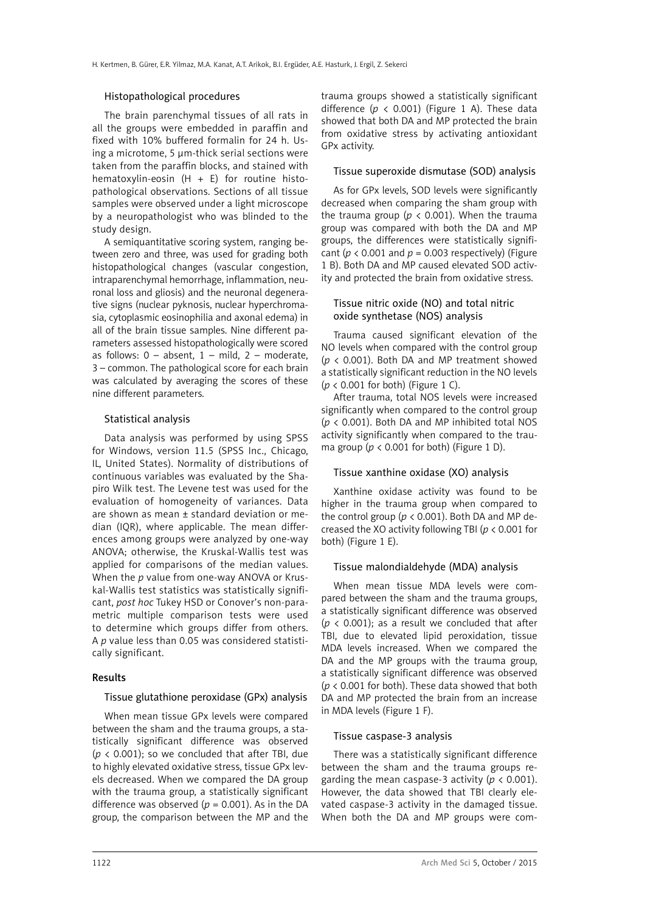#### Histopathological procedures

The brain parenchymal tissues of all rats in all the groups were embedded in paraffin and fixed with 10% buffered formalin for 24 h. Using a microtome, 5 µm-thick serial sections were taken from the paraffin blocks, and stained with hematoxylin-eosin  $(H + E)$  for routine histopathological observations. Sections of all tissue samples were observed under a light microscope by a neuropathologist who was blinded to the study design.

A semiquantitative scoring system, ranging between zero and three, was used for grading both histopathological changes (vascular congestion, intraparenchymal hemorrhage, inflammation, neuronal loss and gliosis) and the neuronal degenerative signs (nuclear pyknosis, nuclear hyperchromasia, cytoplasmic eosinophilia and axonal edema) in all of the brain tissue samples. Nine different parameters assessed histopathologically were scored as follows:  $0 -$  absent,  $1 -$  mild,  $2 -$  moderate, 3 – common. The pathological score for each brain was calculated by averaging the scores of these nine different parameters.

#### Statistical analysis

Data analysis was performed by using SPSS for Windows, version 11.5 (SPSS Inc., Chicago, IL, United States). Normality of distributions of continuous variables was evaluated by the Shapiro Wilk test. The Levene test was used for the evaluation of homogeneity of variances. Data are shown as mean ± standard deviation or median (IQR), where applicable. The mean differences among groups were analyzed by one-way ANOVA; otherwise, the Kruskal-Wallis test was applied for comparisons of the median values. When the *p* value from one-way ANOVA or Kruskal-Wallis test statistics was statistically significant, *post hoc* Tukey HSD or Conover's non-parametric multiple comparison tests were used to determine which groups differ from others. A *p* value less than 0.05 was considered statistically significant.

#### Results

## Tissue glutathione peroxidase (GPx) analysis

When mean tissue GPx levels were compared between the sham and the trauma groups, a statistically significant difference was observed  $(p < 0.001)$ ; so we concluded that after TBI, due to highly elevated oxidative stress, tissue GPx levels decreased. When we compared the DA group with the trauma group, a statistically significant difference was observed ( $p = 0.001$ ). As in the DA group, the comparison between the MP and the trauma groups showed a statistically significant difference  $(p < 0.001)$  (Figure 1 A). These data showed that both DA and MP protected the brain from oxidative stress by activating antioxidant GPx activity.

## Tissue superoxide dismutase (SOD) analysis

As for GPx levels, SOD levels were significantly decreased when comparing the sham group with the trauma group ( $p < 0.001$ ). When the trauma group was compared with both the DA and MP groups, the differences were statistically significant ( $p < 0.001$  and  $p = 0.003$  respectively) (Figure 1 B). Both DA and MP caused elevated SOD activity and protected the brain from oxidative stress.

## Tissue nitric oxide (NO) and total nitric oxide synthetase (NOS) analysis

Trauma caused significant elevation of the NO levels when compared with the control group (*p* < 0.001). Both DA and MP treatment showed a statistically significant reduction in the NO levels  $(p < 0.001$  for both) (Figure 1 C).

After trauma, total NOS levels were increased significantly when compared to the control group (*p* < 0.001). Both DA and MP inhibited total NOS activity significantly when compared to the trauma group ( $p < 0.001$  for both) (Figure 1 D).

## Tissue xanthine oxidase (XO) analysis

Xanthine oxidase activity was found to be higher in the trauma group when compared to the control group ( $p < 0.001$ ). Both DA and MP decreased the XO activity following TBI (*p* < 0.001 for both) (Figure 1 E).

#### Tissue malondialdehyde (MDA) analysis

When mean tissue MDA levels were compared between the sham and the trauma groups, a statistically significant difference was observed ( $p \lt 0.001$ ); as a result we concluded that after TBI, due to elevated lipid peroxidation, tissue MDA levels increased. When we compared the DA and the MP groups with the trauma group. a statistically significant difference was observed (*p* < 0.001 for both). These data showed that both DA and MP protected the brain from an increase in MDA levels (Figure 1 F).

#### Tissue caspase-3 analysis

There was a statistically significant difference between the sham and the trauma groups regarding the mean caspase-3 activity ( $p < 0.001$ ). However, the data showed that TBI clearly elevated caspase-3 activity in the damaged tissue. When both the DA and MP groups were com-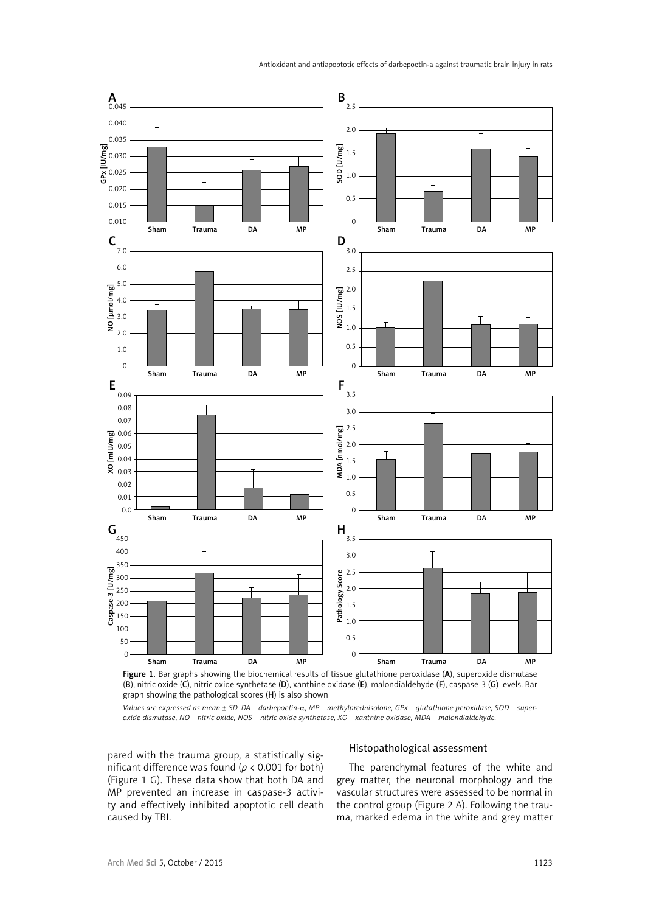

Figure 1. Bar graphs showing the biochemical results of tissue glutathione peroxidase (A), superoxide dismutase (B), nitric oxide (C), nitric oxide synthetase (D), xanthine oxidase (E), malondialdehyde (F), caspase-3 (G) levels. Bar graph showing the pathological scores (H) is also shown

*Values are expressed as mean ± SD. DA – darbepoetin-*a*, MP – methylprednisolone, GPx – glutathione peroxidase, SOD – superoxide dismutase, NO – nitric oxide, NOS – nitric oxide synthetase, XO – xanthine oxidase, MDA – malondialdehyde.* 

pared with the trauma group, a statistically significant difference was found (*p* < 0.001 for both) (Figure 1 G). These data show that both DA and MP prevented an increase in caspase-3 activity and effectively inhibited apoptotic cell death caused by TBI.

## Histopathological assessment

The parenchymal features of the white and grey matter, the neuronal morphology and the vascular structures were assessed to be normal in the control group (Figure 2 A). Following the trauma, marked edema in the white and grey matter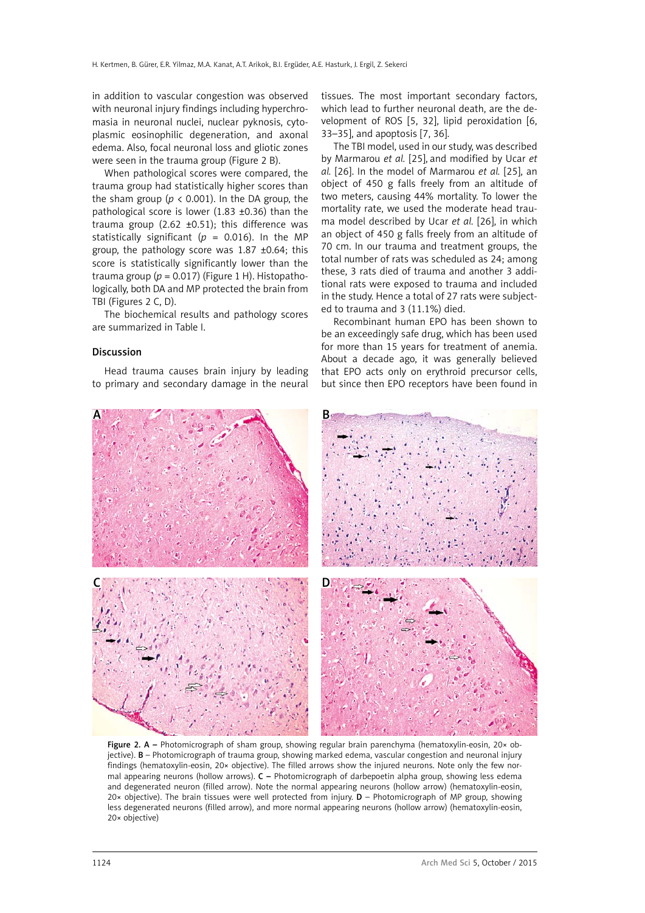in addition to vascular congestion was observed with neuronal injury findings including hyperchromasia in neuronal nuclei, nuclear pyknosis, cytoplasmic eosinophilic degeneration, and axonal edema. Also, focal neuronal loss and gliotic zones were seen in the trauma group (Figure 2 B).

When pathological scores were compared, the trauma group had statistically higher scores than the sham group ( $p < 0.001$ ). In the DA group, the pathological score is lower (1.83 ±0.36) than the trauma group (2.62  $\pm$ 0.51); this difference was statistically significant ( $p = 0.016$ ). In the MP group, the pathology score was 1.87 ±0.64; this score is statistically significantly lower than the trauma group ( $p = 0.017$ ) (Figure 1 H). Histopathologically, both DA and MP protected the brain from TBI (Figures 2 C, D).

The biochemical results and pathology scores are summarized in Table I.

#### Discussion

Head trauma causes brain injury by leading to primary and secondary damage in the neural tissues. The most important secondary factors, which lead to further neuronal death, are the development of ROS [5, 32], lipid peroxidation [6, 33–35], and apoptosis [7, 36].

The TBI model, used in our study, was described by Marmarou *et al.* [25], and modified by Ucar *et al.* [26]. In the model of Marmarou *et al.* [25], an object of 450 g falls freely from an altitude of two meters, causing 44% mortality. To lower the mortality rate, we used the moderate head trauma model described by Ucar *et al.* [26], in which an object of 450 g falls freely from an altitude of 70 cm. In our trauma and treatment groups, the total number of rats was scheduled as 24; among these, 3 rats died of trauma and another 3 additional rats were exposed to trauma and included in the study. Hence a total of 27 rats were subjected to trauma and 3 (11.1%) died.

Recombinant human EPO has been shown to be an exceedingly safe drug, which has been used for more than 15 years for treatment of anemia. About a decade ago, it was generally believed that EPO acts only on erythroid precursor cells, but since then EPO receptors have been found in



Figure 2. A – Photomicrograph of sham group, showing regular brain parenchyma (hematoxylin-eosin, 20× objective). B – Photomicrograph of trauma group, showing marked edema, vascular congestion and neuronal injury findings (hematoxylin-eosin, 20× objective). The filled arrows show the injured neurons. Note only the few normal appearing neurons (hollow arrows). C – Photomicrograph of darbepoetin alpha group, showing less edema and degenerated neuron (filled arrow). Note the normal appearing neurons (hollow arrow) (hematoxylin-eosin, 20 $\times$  objective). The brain tissues were well protected from injury.  $D -$  Photomicrograph of MP group, showing less degenerated neurons (filled arrow), and more normal appearing neurons (hollow arrow) (hematoxylin-eosin, 20× objective)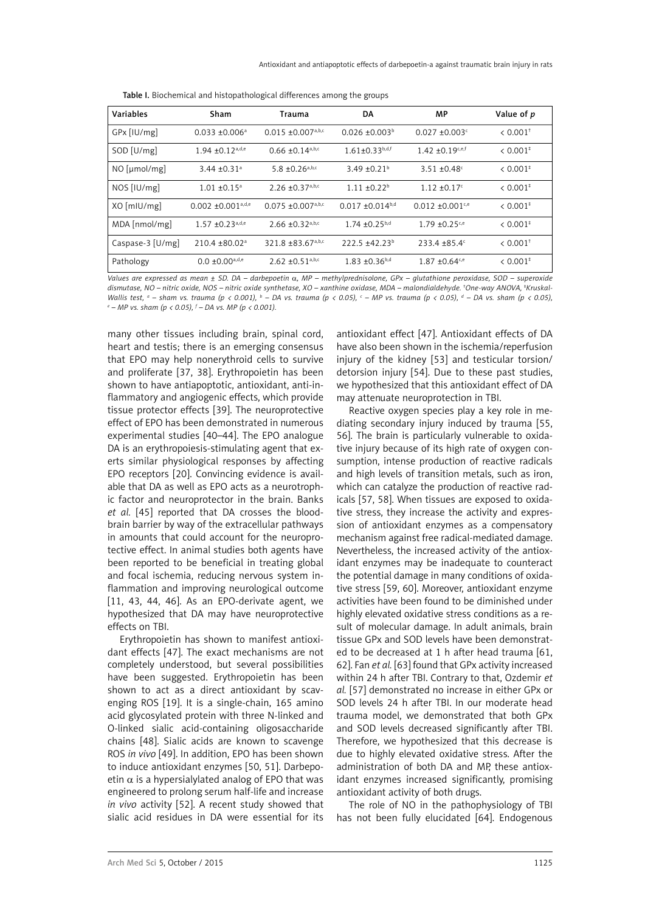| Variables        | Sham                             | Trauma                                       | DA                               | MP                             | Value of p                |
|------------------|----------------------------------|----------------------------------------------|----------------------------------|--------------------------------|---------------------------|
| GPx [IU/mg]      | $0.033 \pm 0.006^a$              | $0.015 \pm 0.007^{\text{a,b,c}}$             | $0.026 + 0.003b$                 | $0.027 \pm 0.003$ <sup>c</sup> | $& 0.001$ <sup>†</sup>    |
| SOD [U/mg]       | $1.94 \pm 0.12$ <sup>a,d,e</sup> | $0.66 \pm 0.14^{\text{a},\text{b},\text{c}}$ | $1.61 \pm 0.33$ <sup>b,d,f</sup> | $1.42 + 0.19$ <sup>c,e,f</sup> | $\leq 0.001^{\ddagger}$   |
| NO [µmol/mg]     | 3.44 $\pm$ 0.31 <sup>a</sup>     | 5.8 $\pm$ 0.26 <sup>a,b,c</sup>              | $3.49 \pm 0.21^{\circ}$          | $3.51 + 0.48$                  | $\leq 0.001$ <sup>*</sup> |
| NOS [IU/mg]      | $1.01 \pm 0.15^a$                | $2.26 \pm 0.37^{a,b,c}$                      | $1.11 + 0.22^b$                  | $1.12 + 0.17$ °                | $< 0.001$ <sup>*</sup>    |
| XO [mIU/mg]      | $0.002 + 0.001^{\text{a,d,e}}$   | $0.075 + 0.007$ <sup>a,b,c</sup>             | $0.017 + 0.014^{b,d}$            | $0.012 + 0.001$ <sup>c,e</sup> | $< 0.001^{\ddagger}$      |
| MDA [nmol/mg]    | $1.57 \pm 0.23$ <sub>a,d,e</sub> | $2.66 \pm 0.32^{a,b,c}$                      | $1.74 \pm 0.25^{b,d}$            | $1.79 + 0.25$ <sup>c,e</sup>   | $< 0.001^{\ddagger}$      |
| Caspase-3 [U/mg] | $210.4 \pm 80.02$ <sup>a</sup>   | 321.8 ±83.67a,b,c                            | $222.5 + 42.23^b$                | $233.4 + 85.4$ <sup>c</sup>    | $\leq 0.001^+$            |
| Pathology        | $0.0 \pm 0.00^{\text{a,d,e}}$    | $2.62 \pm 0.51^{a,b,c}$                      | $1.83 + 0.36^{b,d}$              | $1.87 + 0.64$ <sup>c,e</sup>   | $\leq 0.001^{\ddagger}$   |

Table I. Biochemical and histopathological differences among the groups

*Values are expressed as mean ± SD. DA – darbepoetin* a*, MP – methylprednisolone, GPx – glutathione peroxidase, SOD – superoxide dismutase, NO – nitric oxide, NOS – nitric oxide synthetase, XO – xanthine oxidase, MDA – malondialdehyde. † One-way ANOVA, ‡ Kruskal-*Wallis test, <sup>a</sup> – sham vs. trauma (p < 0.001), <sup>b</sup> – DA vs. trauma (p < 0.05), <sup>c</sup> – MP vs. trauma (p < 0.05), <sup>d</sup> – DA vs. sham (p < 0.05),<br><sup>e</sup> – MP vs. sham (p < 0.05) *í –* DA vs. MP (p < 0.001)  *– MP vs. sham (p < 0.05), f – DA vs. MP (p < 0.001).*

many other tissues including brain, spinal cord, heart and testis; there is an emerging consensus that EPO may help nonerythroid cells to survive and proliferate [37, 38]. Erythropoietin has been shown to have antiapoptotic, antioxidant, anti-inflammatory and angiogenic effects, which provide tissue protector effects [39]. The neuroprotective effect of EPO has been demonstrated in numerous experimental studies [40–44]. The EPO analogue DA is an erythropoiesis-stimulating agent that exerts similar physiological responses by affecting EPO receptors [20]. Convincing evidence is available that DA as well as EPO acts as a neurotrophic factor and neuroprotector in the brain. Banks *et al.* [45] reported that DA crosses the bloodbrain barrier by way of the extracellular pathways in amounts that could account for the neuroprotective effect. In animal studies both agents have been reported to be beneficial in treating global and focal ischemia, reducing nervous system inflammation and improving neurological outcome [11, 43, 44, 46]. As an EPO-derivate agent, we hypothesized that DA may have neuroprotective effects on TBI.

Erythropoietin has shown to manifest antioxidant effects [47]. The exact mechanisms are not completely understood, but several possibilities have been suggested. Erythropoietin has been shown to act as a direct antioxidant by scavenging ROS [19]. It is a single-chain, 165 amino acid glycosylated protein with three N-linked and O-linked sialic acid-containing oligosaccharide chains [48]. Sialic acids are known to scavenge ROS *in vivo* [49]. In addition, EPO has been shown to induce antioxidant enzymes [50, 51]. Darbepoetin  $\alpha$  is a hypersialylated analog of EPO that was engineered to prolong serum half-life and increase *in vivo* activity [52]. A recent study showed that sialic acid residues in DA were essential for its

antioxidant effect [47]. Antioxidant effects of DA have also been shown in the ischemia/reperfusion injury of the kidney [53] and testicular torsion/ detorsion injury [54]. Due to these past studies, we hypothesized that this antioxidant effect of DA may attenuate neuroprotection in TBI.

Reactive oxygen species play a key role in mediating secondary injury induced by trauma [55, 56]. The brain is particularly vulnerable to oxidative injury because of its high rate of oxygen consumption, intense production of reactive radicals and high levels of transition metals, such as iron, which can catalyze the production of reactive radicals [57, 58]. When tissues are exposed to oxidative stress, they increase the activity and expression of antioxidant enzymes as a compensatory mechanism against free radical-mediated damage. Nevertheless, the increased activity of the antioxidant enzymes may be inadequate to counteract the potential damage in many conditions of oxidative stress [59, 60]. Moreover, antioxidant enzyme activities have been found to be diminished under highly elevated oxidative stress conditions as a result of molecular damage. In adult animals, brain tissue GPx and SOD levels have been demonstrated to be decreased at 1 h after head trauma [61, 62]. Fan *et al.* [63] found that GPx activity increased within 24 h after TBI. Contrary to that, Ozdemir *et al.* [57] demonstrated no increase in either GPx or SOD levels 24 h after TBI. In our moderate head trauma model, we demonstrated that both GPx and SOD levels decreased significantly after TBI. Therefore, we hypothesized that this decrease is due to highly elevated oxidative stress. After the administration of both DA and MP, these antioxidant enzymes increased significantly, promising antioxidant activity of both drugs.

The role of NO in the pathophysiology of TBI has not been fully elucidated [64]. Endogenous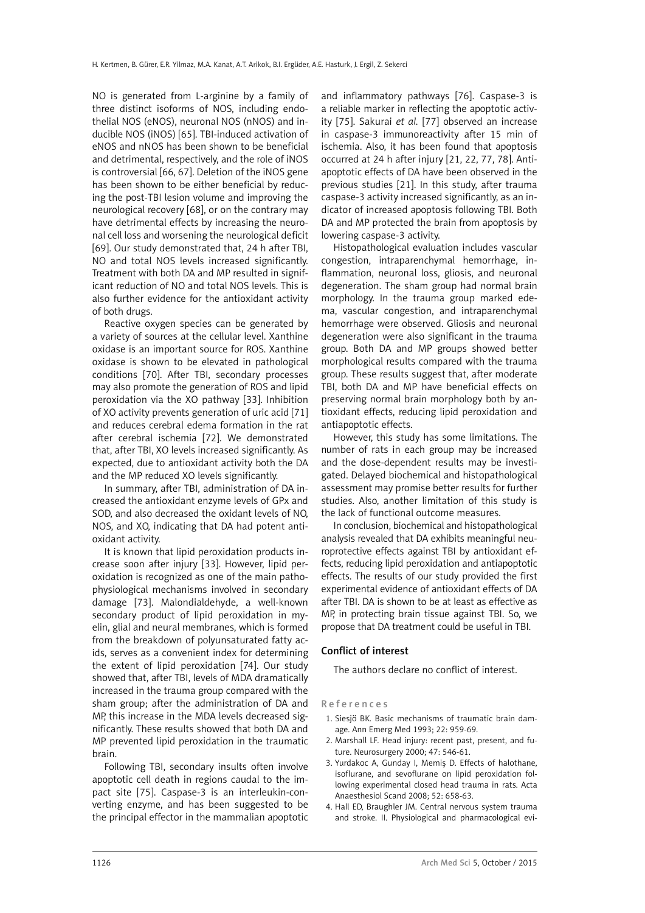NO is generated from L-arginine by a family of three distinct isoforms of NOS, including endothelial NOS (eNOS), neuronal NOS (nNOS) and inducible NOS (iNOS) [65]. TBI-induced activation of eNOS and nNOS has been shown to be beneficial and detrimental, respectively, and the role of iNOS is controversial [66, 67]. Deletion of the iNOS gene has been shown to be either beneficial by reducing the post-TBI lesion volume and improving the neurological recovery [68], or on the contrary may have detrimental effects by increasing the neuronal cell loss and worsening the neurological deficit [69]. Our study demonstrated that, 24 h after TBI, NO and total NOS levels increased significantly. Treatment with both DA and MP resulted in significant reduction of NO and total NOS levels. This is also further evidence for the antioxidant activity of both drugs.

Reactive oxygen species can be generated by a variety of sources at the cellular level. Xanthine oxidase is an important source for ROS. Xanthine oxidase is shown to be elevated in pathological conditions [70]. After TBI, secondary processes may also promote the generation of ROS and lipid peroxidation via the XO pathway [33]. Inhibition of XO activity prevents generation of uric acid [71] and reduces cerebral edema formation in the rat after cerebral ischemia [72]. We demonstrated that, after TBI, XO levels increased significantly. As expected, due to antioxidant activity both the DA and the MP reduced XO levels significantly.

In summary, after TBI, administration of DA increased the antioxidant enzyme levels of GPx and SOD, and also decreased the oxidant levels of NO, NOS, and XO, indicating that DA had potent antioxidant activity.

It is known that lipid peroxidation products increase soon after injury [33]. However, lipid peroxidation is recognized as one of the main pathophysiological mechanisms involved in secondary damage [73]. Malondialdehyde, a well-known secondary product of lipid peroxidation in myelin, glial and neural membranes, which is formed from the breakdown of polyunsaturated fatty acids, serves as a convenient index for determining the extent of lipid peroxidation [74]. Our study showed that, after TBI, levels of MDA dramatically increased in the trauma group compared with the sham group; after the administration of DA and MP, this increase in the MDA levels decreased significantly. These results showed that both DA and MP prevented lipid peroxidation in the traumatic brain.

Following TBI, secondary insults often involve apoptotic cell death in regions caudal to the impact site [75]. Caspase-3 is an interleukin-converting enzyme, and has been suggested to be the principal effector in the mammalian apoptotic and inflammatory pathways [76]. Caspase-3 is a reliable marker in reflecting the apoptotic activity [75]. Sakurai *et al.* [77] observed an increase in caspase-3 immunoreactivity after 15 min of ischemia. Also, it has been found that apoptosis occurred at 24 h after injury [21, 22, 77, 78]. Antiapoptotic effects of DA have been observed in the previous studies [21]. In this study, after trauma caspase-3 activity increased significantly, as an indicator of increased apoptosis following TBI. Both DA and MP protected the brain from apoptosis by lowering caspase-3 activity.

Histopathological evaluation includes vascular congestion, intraparenchymal hemorrhage, inflammation, neuronal loss, gliosis, and neuronal degeneration. The sham group had normal brain morphology. In the trauma group marked edema, vascular congestion, and intraparenchymal hemorrhage were observed. Gliosis and neuronal degeneration were also significant in the trauma group. Both DA and MP groups showed better morphological results compared with the trauma group. These results suggest that, after moderate TBI, both DA and MP have beneficial effects on preserving normal brain morphology both by antioxidant effects, reducing lipid peroxidation and antiapoptotic effects.

However, this study has some limitations. The number of rats in each group may be increased and the dose-dependent results may be investigated. Delayed biochemical and histopathological assessment may promise better results for further studies. Also, another limitation of this study is the lack of functional outcome measures.

In conclusion, biochemical and histopathological analysis revealed that DA exhibits meaningful neuroprotective effects against TBI by antioxidant effects, reducing lipid peroxidation and antiapoptotic effects. The results of our study provided the first experimental evidence of antioxidant effects of DA after TBI. DA is shown to be at least as effective as MP, in protecting brain tissue against TBI. So, we propose that DA treatment could be useful in TBI.

#### Conflict of interest

The authors declare no conflict of interest.

#### References

- 1. Siesjö BK. Basic mechanisms of traumatic brain damage. Ann Emerg Med 1993; 22: 959-69.
- 2. Marshall LF. Head injury: recent past, present, and future. Neurosurgery 2000; 47: 546-61.
- 3. Yurdakoc A, Gunday I, Memiş D. Effects of halothane, isoflurane, and sevoflurane on lipid peroxidation following experimental closed head trauma in rats. Acta Anaesthesiol Scand 2008; 52: 658-63.
- 4. Hall ED, Braughler JM. Central nervous system trauma and stroke. II. Physiological and pharmacological evi-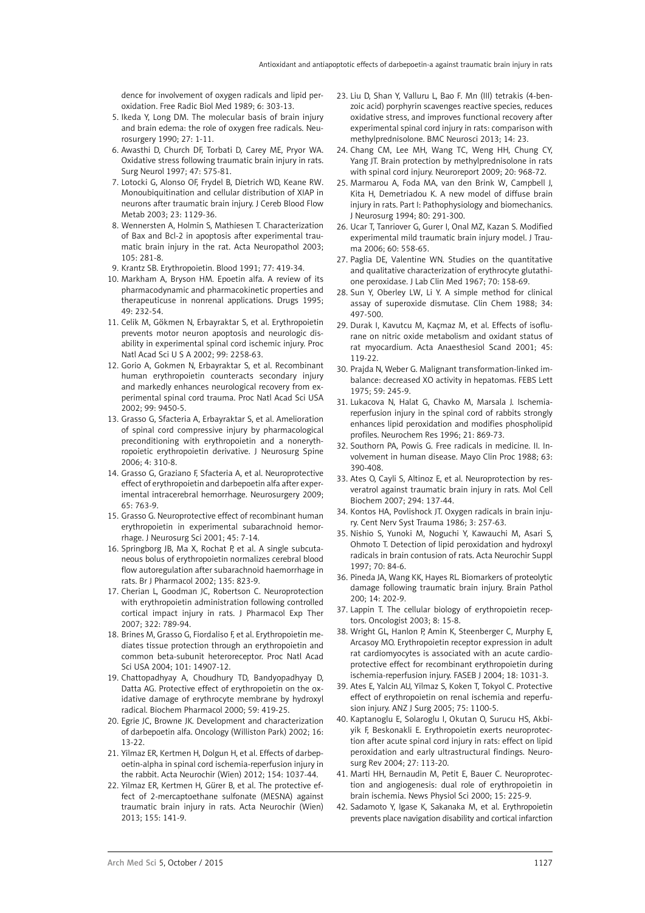dence for involvement of oxygen radicals and lipid peroxidation. Free Radic Biol Med 1989; 6: 303-13.

- 5. Ikeda Y, Long DM. The molecular basis of brain injury and brain edema: the role of oxygen free radicals. Neurosurgery 1990; 27: 1-11.
- 6. Awasthi D, Church DF, Torbati D, Carey ME, Pryor WA. Oxidative stress following traumatic brain injury in rats. Surg Neurol 1997; 47: 575-81.
- 7. Lotocki G, Alonso OF, Frydel B, Dietrich WD, Keane RW. Monoubiquitination and cellular distribution of XIAP in neurons after traumatic brain injury. J Cereb Blood Flow Metab 2003; 23: 1129-36.
- 8. Wennersten A, Holmin S, Mathiesen T. Characterization of Bax and Bcl-2 in apoptosis after experimental traumatic brain injury in the rat. Acta Neuropathol 2003; 105: 281-8.
- 9. Krantz SB. Erythropoietin. Blood 1991; 77: 419-34.
- 10. Markham A, Bryson HM. Epoetin alfa. A review of its pharmacodynamic and pharmacokinetic properties and therapeuticuse in nonrenal applications. Drugs 1995; 49: 232-54.
- 11. Celik M, Gökmen N, Erbayraktar S, et al. Erythropoietin prevents motor neuron apoptosis and neurologic disability in experimental spinal cord ischemic injury. Proc Natl Acad Sci U S A 2002; 99: 2258-63.
- 12. Gorio A, Gokmen N, Erbayraktar S, et al. Recombinant human erythropoietin counteracts secondary injury and markedly enhances neurological recovery from experimental spinal cord trauma. Proc Natl Acad Sci USA 2002; 99: 9450-5.
- 13. Grasso G, Sfacteria A, Erbayraktar S, et al. Amelioration of spinal cord compressive injury by pharmacological preconditioning with erythropoietin and a nonerythropoietic erythropoietin derivative. J Neurosurg Spine 2006; 4: 310-8.
- 14. Grasso G, Graziano F, Sfacteria A, et al. Neuroprotective effect of erythropoietin and darbepoetin alfa after experimental intracerebral hemorrhage. Neurosurgery 2009; 65: 763-9.
- 15. Grasso G. Neuroprotective effect of recombinant human erythropoietin in experimental subarachnoid hemorrhage. J Neurosurg Sci 2001; 45: 7-14.
- 16. Springborg JB, Ma X, Rochat P, et al. A single subcutaneous bolus of erythropoietin normalizes cerebral blood flow autoregulation after subarachnoid haemorrhage in rats. Br J Pharmacol 2002; 135: 823-9.
- 17. Cherian L, Goodman JC, Robertson C. Neuroprotection with erythropoietin administration following controlled cortical impact injury in rats. J Pharmacol Exp Ther 2007; 322: 789-94.
- 18. Brines M, Grasso G, Fiordaliso F, et al. Erythropoietin mediates tissue protection through an erythropoietin and common beta-subunit heteroreceptor. Proc Natl Acad Sci USA 2004; 101: 14907-12.
- 19. Chattopadhyay A, Choudhury TD, Bandyopadhyay D, Datta AG. Protective effect of erythropoietin on the oxidative damage of erythrocyte membrane by hydroxyl radical. Biochem Pharmacol 2000; 59: 419-25.
- 20. Egrie JC, Browne JK. Development and characterization of darbepoetin alfa. Oncology (Williston Park) 2002; 16: 13-22.
- 21. Yilmaz ER, Kertmen H, Dolgun H, et al. Effects of darbepoetin-alpha in spinal cord ischemia-reperfusion injury in the rabbit. Acta Neurochir (Wien) 2012; 154: 1037-44.
- 22. Yilmaz ER, Kertmen H, Gürer B, et al. The protective effect of 2-mercaptoethane sulfonate (MESNA) against traumatic brain injury in rats. Acta Neurochir (Wien) 2013; 155: 141-9.
- 23. Liu D, Shan Y, Valluru L, Bao F. Mn (III) tetrakis (4-benzoic acid) porphyrin scavenges reactive species, reduces oxidative stress, and improves functional recovery after experimental spinal cord injury in rats: comparison with methylprednisolone. BMC Neurosci 2013; 14: 23.
- 24. Chang CM, Lee MH, Wang TC, Weng HH, Chung CY, Yang JT. Brain protection by methylprednisolone in rats with spinal cord injury. Neuroreport 2009; 20: 968-72.
- 25. Marmarou A, Foda MA, van den Brink W, Campbell J, Kita H, Demetriadou K. A new model of diffuse brain injury in rats. Part I: Pathophysiology and biomechanics. J Neurosurg 1994; 80: 291-300.
- 26. Ucar T, Tanriover G, Gurer I, Onal MZ, Kazan S. Modified experimental mild traumatic brain injury model. J Trauma 2006; 60: 558-65.
- 27. Paglia DE, Valentine WN. Studies on the quantitative and qualitative characterization of erythrocyte glutathione peroxidase. J Lab Clin Med 1967; 70: 158-69.
- 28. Sun Y, Oberley LW, Li Y. A simple method for clinical assay of superoxide dismutase. Clin Chem 1988; 34: 497-500.
- 29. Durak I, Kavutcu M, Kaçmaz M, et al. Effects of isoflurane on nitric oxide metabolism and oxidant status of rat myocardium. Acta Anaesthesiol Scand 2001; 45: 119-22.
- 30. Prajda N, Weber G. Malignant transformation-linked imbalance: decreased XO activity in hepatomas. FEBS Lett 1975; 59: 245-9.
- 31. Lukacova N, Halat G, Chavko M, Marsala J. Ischemiareperfusion injury in the spinal cord of rabbits strongly enhances lipid peroxidation and modifies phospholipid profiles. Neurochem Res 1996; 21: 869-73.
- 32. Southorn PA, Powis G. Free radicals in medicine. II. Involvement in human disease. Mayo Clin Proc 1988; 63: 390-408.
- 33. Ates O, Cayli S, Altinoz E, et al. Neuroprotection by resveratrol against traumatic brain injury in rats. Mol Cell Biochem 2007; 294: 137-44.
- 34. Kontos HA, Povlishock JT. Oxygen radicals in brain injury. Cent Nerv Syst Trauma 1986; 3: 257-63.
- 35. Nishio S, Yunoki M, Noguchi Y, Kawauchi M, Asari S, Ohmoto T. Detection of lipid peroxidation and hydroxyl radicals in brain contusion of rats. Acta Neurochir Suppl 1997; 70: 84-6.
- 36. Pineda JA, Wang KK, Hayes RL. Biomarkers of proteolytic damage following traumatic brain injury. Brain Pathol 200; 14: 202-9.
- 37. Lappin T. The cellular biology of erythropoietin receptors. Oncologist 2003; 8: 15-8.
- 38. Wright GL, Hanlon P, Amin K, Steenberger C, Murphy E, Arcasoy MO. Erythropoietin receptor expression in adult rat cardiomyocytes is associated with an acute cardioprotective effect for recombinant erythropoietin during ischemia-reperfusion injury. FASEB J 2004; 18: 1031-3.
- 39. Ates E, Yalcin AU, Yilmaz S, Koken T, Tokyol C. Protective effect of erythropoietin on renal ischemia and reperfusion injury. ANZ J Surg 2005; 75: 1100-5.
- 40. Kaptanoglu E, Solaroglu I, Okutan O, Surucu HS, Akbiyik F, Beskonakli E. Erythropoietin exerts neuroprotection after acute spinal cord injury in rats: effect on lipid peroxidation and early ultrastructural findings. Neurosurg Rev 2004; 27: 113-20.
- 41. Marti HH, Bernaudin M, Petit E, Bauer C. Neuroprotection and angiogenesis: dual role of erythropoietin in brain ischemia. News Physiol Sci 2000; 15: 225-9.
- 42. Sadamoto Y, Igase K, Sakanaka M, et al. Erythropoietin prevents place navigation disability and cortical infarction